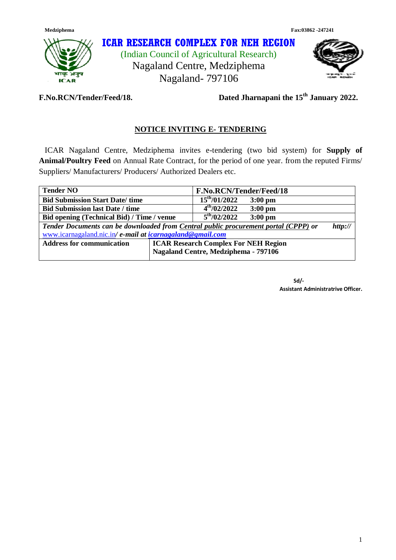

# **ICAR RESEARCH COMPLEX FOR NEH REGION**

(Indian Council of Agricultural Research) Nagaland Centre, Medziphema Nagaland- 797106



**F.No.RCN/Tender/Feed/18.** 

Dated Jharnapani the 15<sup>th</sup> January 2022.

# **NOTICE INVITING E- TENDERING**

 ICAR Nagaland Centre, Medziphema invites e-tendering (two bid system) for **Supply of Animal/Poultry Feed** on Annual Rate Contract, for the period of one year. from the reputed Firms/ Suppliers/ Manufacturers/ Producers/ Authorized Dealers etc.

| <b>Tender NO</b>                                                                    |                                             | F.No.RCN/Tender/Feed/18 |                   |         |
|-------------------------------------------------------------------------------------|---------------------------------------------|-------------------------|-------------------|---------|
| <b>Bid Submission Start Date/time</b>                                               |                                             | $15^{th}/01/2022$       | $3:00 \text{ pm}$ |         |
| <b>Bid Submission last Date / time</b>                                              |                                             | $4^{th}/02/2022$        | $3:00 \text{ pm}$ |         |
| Bid opening (Technical Bid) / Time / venue                                          |                                             | $5^{\text{th}}/02/2022$ | $3:00$ pm         |         |
| Tender Documents can be downloaded from Central public procurement portal (CPPP) or |                                             |                         |                   | http:// |
| www.icarnagaland.nic.in/ e-mail at icarnagaland@gmail.com                           |                                             |                         |                   |         |
| <b>Address for communication</b>                                                    | <b>ICAR Research Complex For NEH Region</b> |                         |                   |         |
|                                                                                     | Nagaland Centre, Medziphema - 797106        |                         |                   |         |

 **Sd/- Assistant Administratrive Officer.**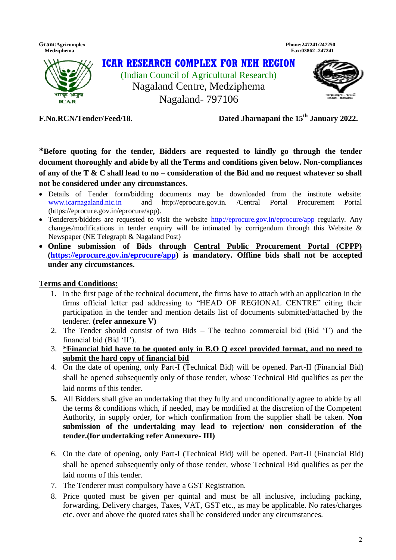**Gram:Agricomplex Phone:247241/247250 Medziphema Fax:03862 -247241** 



**F.No.RCN/Tender/Feed/18.** 

Dated Jharnapani the 15<sup>th</sup> January 2022.

**\*Before quoting for the tender, Bidders are requested to kindly go through the tender document thoroughly and abide by all the Terms and conditions given below. Non-compliances of any of the T & C shall lead to no – consideration of the Bid and no request whatever so shall not be considered under any circumstances.** 

- Details of Tender form/bidding documents may be downloaded from the institute website: [www.icarnagaland.nic.in](http://www.icarnagaland.nic.in/) and http://eprocure.gov.in. /Central Portal Procurement Portal (https://eprocure.gov.in/eprocure/app).
- Tenderers/bidders are requested to visit the website http://eprocure.gov.in/eprocure/app regularly. Any changes/modifications in tender enquiry will be intimated by corrigendum through this Website & Newspaper (NE Telegraph & Nagaland Post)
- **Online submission of Bids through Central Public Procurement Portal (CPPP) [\(https://eprocure.gov.in/eprocure/app\)](https://eprocure.gov.in/eprocure/app) is mandatory. Offline bids shall not be accepted under any circumstances.**

### **Terms and Conditions:**

- 1. In the first page of the technical document, the firms have to attach with an application in the firms official letter pad addressing to "HEAD OF REGIONAL CENTRE" citing their participation in the tender and mention details list of documents submitted/attached by the tenderer. **(refer annexure V)**
- 2. The Tender should consist of two Bids The techno commercial bid (Bid "I") and the financial bid (Bid "II").
- 3. **\*Financial bid have to be quoted only in B.O Q excel provided format, and no need to submit the hard copy of financial bid**
- 4. On the date of opening, only Part-I (Technical Bid) will be opened. Part-II (Financial Bid) shall be opened subsequently only of those tender, whose Technical Bid qualifies as per the laid norms of this tender.
- **5.** All Bidders shall give an undertaking that they fully and unconditionally agree to abide by all the terms & conditions which, if needed, may be modified at the discretion of the Competent Authority, in supply order, for which confirmation from the supplier shall be taken. **Non submission of the undertaking may lead to rejection/ non consideration of the tender.(for undertaking refer Annexure- III)**
- 6. On the date of opening, only Part-I (Technical Bid) will be opened. Part-II (Financial Bid) shall be opened subsequently only of those tender, whose Technical Bid qualifies as per the laid norms of this tender.
- 7. The Tenderer must compulsory have a GST Registration.
- 8. Price quoted must be given per quintal and must be all inclusive, including packing, forwarding, Delivery charges, Taxes, VAT, GST etc., as may be applicable. No rates/charges etc. over and above the quoted rates shall be considered under any circumstances.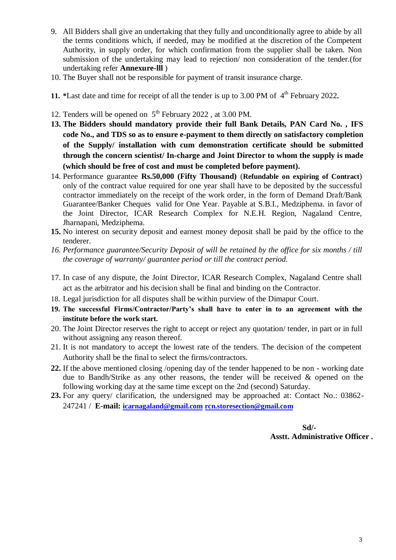- 9. All Bidders shall give an undertaking that they fully and unconditionally agree to abide by all the terms conditions which, if needed, may be modified at the discretion of the Competent Authority, in supply order, for which confirmation from the supplier shall be taken. Non submission of the undertaking may lead to rejection/ non consideration of the tender.(for undertaking refer **Annexure-lll** )
- 10. The Buyer shall not be responsible for payment of transit insurance charge.
- **11.** \*Last date and time for receipt of all the tender is up to 3.00 PM of 4<sup>th</sup> February 2022.
- 12. Tenders will be opened on  $5<sup>th</sup>$  February 2022, at 3.00 PM.
- **13. The Bidders should mandatory provide their full Bank Details, PAN Card No. , IFS code No., and TDS so as to ensure e-payment to them directly on satisfactory completion of the Supply/ installation with cum demonstration certificate should be submitted through the concern scientist/ In-charge and Joint Director to whom the supply is made (which should be free of cost and must be completed before payment).**
- 14. Performance guarantee **Rs.50,000 (Fifty Thousand)** (**Refundable on expiring of Contract**) only of the contract value required for one year shall have to be deposited by the successful contractor immediately on the receipt of the work order, in the form of Demand Draft/Bank Guarantee/Banker Cheques valid for One Year. Payable at S.B.I., Medziphema. in favor of the Joint Director, ICAR Research Complex for N.E.H. Region, Nagaland Centre, Jharnapani, Medziphema.
- **15.** No interest on security deposit and earnest money deposit shall be paid by the office to the tenderer.
- *16. Performance guarantee/Security Deposit of will be retained by the office for six months / till the coverage of warranty/ guarantee period or till the contract period.*
- 17. In case of any dispute, the Joint Director, ICAR Research Complex, Nagaland Centre shall act as the arbitrator and his decision shall be final and binding on the Contractor.
- 18. Legal jurisdiction for all disputes shall be within purview of the Dimapur Court.
- **19. The successful Firms/Contractor/Party's shall have to enter in to an agreement with the institute before the work start.**
- 20. The Joint Director reserves the right to accept or reject any quotation/ tender, in part or in full without assigning any reason thereof.
- 21. It is not mandatory to accept the lowest rate of the tenders. The decision of the competent Authority shall be the final to select the firms/contractors.
- **22.** If the above mentioned closing /opening day of the tender happened to be non working date due to Bandh/Strike as any other reasons, the tender will be received & opened on the following working day at the same time except on the 2nd (second) Saturday.
- **23.** For any query/ clarification, the undersigned may be approached at: Contact No.: 03862- 247241 / **E-mail: [icarnagaland@gmail.com](mailto:icarnagaland@gmail.com) [rcn.storesection@gmail.com](mailto:rcn.storesection@gmail.com)**

 **Sd/- Asstt. Administrative Officer .**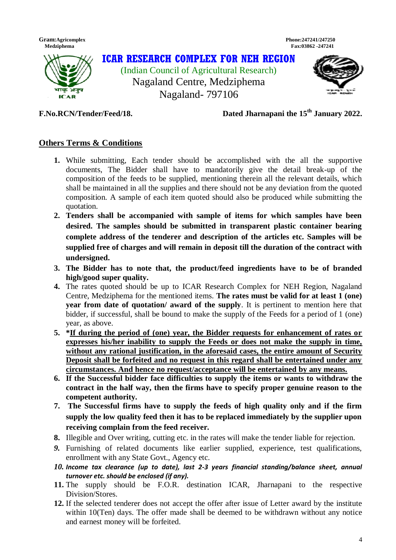



**F.No.RCN/Tender/Feed/18.** 

# Dated Jharnapani the 15<sup>th</sup> January 2022.

# **Others Terms & Conditions**

- **1.** While submitting, Each tender should be accomplished with the all the supportive documents, The Bidder shall have to mandatorily give the detail break-up of the composition of the feeds to be supplied, mentioning therein all the relevant details, which shall be maintained in all the supplies and there should not be any deviation from the quoted composition. A sample of each item quoted should also be produced while submitting the quotation.
- **2. Tenders shall be accompanied with sample of items for which samples have been desired. The samples should be submitted in transparent plastic container bearing complete address of the tenderer and description of the articles etc. Samples will be supplied free of charges and will remain in deposit till the duration of the contract with undersigned.**
- **3. The Bidder has to note that, the product/feed ingredients have to be of branded high/good super quality.**
- **4.** The rates quoted should be up to ICAR Research Complex for NEH Region, Nagaland Centre, Medziphema for the mentioned items. **The rates must be valid for at least 1 (one) year from date of quotation/ award of the supply**. It is pertinent to mention here that bidder, if successful, shall be bound to make the supply of the Feeds for a period of 1 (one) year, as above.
- **5. \*If during the period of (one) year, the Bidder requests for enhancement of rates or expresses his/her inability to supply the Feeds or does not make the supply in time, without any rational justification, in the aforesaid cases, the entire amount of Security Deposit shall be forfeited and no request in this regard shall be entertained under any circumstances. And hence no request/acceptance will be entertained by any means.**
- **6. If the Successful bidder face difficulties to supply the items or wants to withdraw the contract in the half way, then the firms have to specify proper genuine reason to the competent authority.**
- **7. The Successful firms have to supply the feeds of high quality only and if the firm supply the low quality feed then it has to be replaced immediately by the supplier upon receiving complain from the feed receiver.**
- **8.** Illegible and Over writing, cutting etc. in the rates will make the tender liable for rejection.
- *9.* Furnishing of related documents like earlier supplied, experience, test qualifications, enrollment with any State Govt., Agency etc.
- *10. Income tax clearance (up to date), last 2-3 years financial standing/balance sheet, annual turnover etc. should be enclosed (if any).*
- **11.** The supply should be F.O.R. destination ICAR, Jharnapani to the respective Division/Stores.
- **12.** If the selected tenderer does not accept the offer after issue of Letter award by the institute within 10(Ten) days. The offer made shall be deemed to be withdrawn without any notice and earnest money will be forfeited.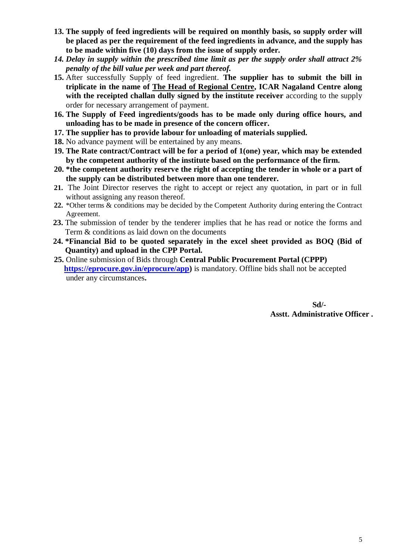- **13. The supply of feed ingredients will be required on monthly basis, so supply order will be placed as per the requirement of the feed ingredients in advance, and the supply has to be made within five (10) days from the issue of supply order.**
- *14. Delay in supply within the prescribed time limit as per the supply order shall attract 2% penalty of the bill value per week and part thereof.*
- **15.** After successfully Supply of feed ingredient. **The supplier has to submit the bill in triplicate in the name of The Head of Regional Centre, ICAR Nagaland Centre along with the receipted challan dully signed by the institute receiver** according to the supply order for necessary arrangement of payment.
- **16. The Supply of Feed ingredients/goods has to be made only during office hours, and unloading has to be made in presence of the concern officer.**
- **17. The supplier has to provide labour for unloading of materials supplied.**
- **18.** No advance payment will be entertained by any means.
- **19. The Rate contract/Contract will be for a period of 1(one) year, which may be extended by the competent authority of the institute based on the performance of the firm.**
- **20. \*the competent authority reserve the right of accepting the tender in whole or a part of the supply can be distributed between more than one tenderer.**
- **21.** The Joint Director reserves the right to accept or reject any quotation, in part or in full without assigning any reason thereof.
- **22.** \*Other terms & conditions may be decided by the Competent Authority during entering the Contract Agreement.
- 23. The submission of tender by the tenderer implies that he has read or notice the forms and Term & conditions as laid down on the documents
- **24. \*Financial Bid to be quoted separately in the excel sheet provided as BOQ (Bid of Quantity) and upload in the CPP Portal.**
- **25.** Online submission of Bids through **Central Public Procurement Portal (CPPP) [https://eprocure.gov.in/eprocure/app\)](https://eprocure.gov.in/eprocure/app)** is mandatory. Offline bids shall not be accepted under any circumstances**.**

 **Sd/- Asstt. Administrative Officer .**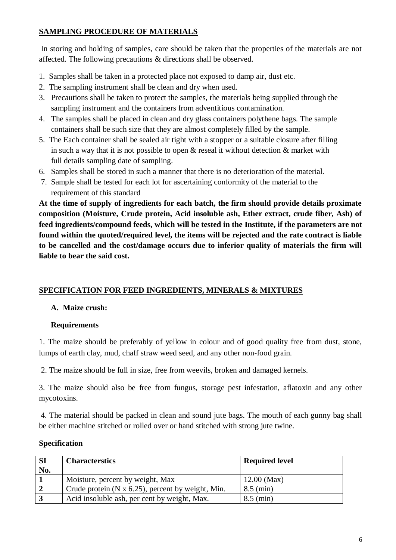# **SAMPLING PROCEDURE OF MATERIALS**

In storing and holding of samples, care should be taken that the properties of the materials are not affected. The following precautions & directions shall be observed.

- 1. Samples shall be taken in a protected place not exposed to damp air, dust etc.
- 2. The sampling instrument shall be clean and dry when used.
- 3. Precautions shall be taken to protect the samples, the materials being supplied through the sampling instrument and the containers from adventitious contamination.
- 4. The samples shall be placed in clean and dry glass containers polythene bags. The sample containers shall be such size that they are almost completely filled by the sample.
- 5. The Each container shall be sealed air tight with a stopper or a suitable closure after filling in such a way that it is not possible to open  $\&$  reseal it without detection  $\&$  market with full details sampling date of sampling.
- 6. Samples shall be stored in such a manner that there is no deterioration of the material.
- 7. Sample shall be tested for each lot for ascertaining conformity of the material to the requirement of this standard

**At the time of supply of ingredients for each batch, the firm should provide details proximate composition (Moisture, Crude protein, Acid insoluble ash, Ether extract, crude fiber, Ash) of feed ingredients/compound feeds, which will be tested in the Institute, if the parameters are not found within the quoted/required level, the items will be rejected and the rate contract is liable to be cancelled and the cost/damage occurs due to inferior quality of materials the firm will liable to bear the said cost.**

# **SPECIFICATION FOR FEED INGREDIENTS, MINERALS & MIXTURES**

# **A. Maize crush:**

# **Requirements**

1. The maize should be preferably of yellow in colour and of good quality free from dust, stone, lumps of earth clay, mud, chaff straw weed seed, and any other non‐food grain.

2. The maize should be full in size, free from weevils, broken and damaged kernels.

3. The maize should also be free from fungus, storage pest infestation, aflatoxin and any other mycotoxins.

4. The material should be packed in clean and sound jute bags. The mouth of each gunny bag shall be either machine stitched or rolled over or hand stitched with strong jute twine.

### **Specification**

| <b>SI</b> | <b>Characterstics</b>                                      | <b>Required level</b> |
|-----------|------------------------------------------------------------|-----------------------|
| No.       |                                                            |                       |
|           | Moisture, percent by weight, Max                           | $12.00$ (Max)         |
|           | Crude protein ( $N \times 6.25$ ), percent by weight, Min. | $8.5 \text{ (min)}$   |
|           | Acid insoluble ash, per cent by weight, Max.               | $8.5 \text{ (min)}$   |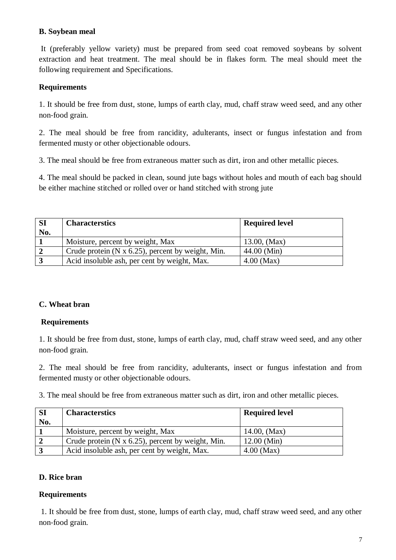### **B. Soybean meal**

It (preferably yellow variety) must be prepared from seed coat removed soybeans by solvent extraction and heat treatment. The meal should be in flakes form. The meal should meet the following requirement and Specifications.

# **Requirements**

1. It should be free from dust, stone, lumps of earth clay, mud, chaff straw weed seed, and any other non‐food grain.

2. The meal should be free from rancidity, adulterants, insect or fungus infestation and from fermented musty or other objectionable odours.

3. The meal should be free from extraneous matter such as dirt, iron and other metallic pieces.

4. The meal should be packed in clean, sound jute bags without holes and mouth of each bag should be either machine stitched or rolled over or hand stitched with strong jute

| <b>SI</b><br>No. | <b>Characterstics</b>                                     | <b>Required level</b> |
|------------------|-----------------------------------------------------------|-----------------------|
|                  | Moisture, percent by weight, Max                          | $13.00$ , (Max)       |
|                  | Crude protein $(N \times 6.25)$ , percent by weight, Min. | $44.00$ (Min)         |
|                  | Acid insoluble ash, per cent by weight, Max.              | $4.00$ (Max)          |

### **C. Wheat bran**

### **Requirements**

1. It should be free from dust, stone, lumps of earth clay, mud, chaff straw weed seed, and any other non‐food grain.

2. The meal should be free from rancidity, adulterants, insect or fungus infestation and from fermented musty or other objectionable odours.

3. The meal should be free from extraneous matter such as dirt, iron and other metallic pieces.

| <b>SI</b><br>No. | <b>Characterstics</b>                                      | <b>Required level</b> |
|------------------|------------------------------------------------------------|-----------------------|
|                  | Moisture, percent by weight, Max                           | $14.00$ , (Max)       |
|                  | Crude protein ( $N \times 6.25$ ), percent by weight, Min. | $12.00$ (Min)         |
|                  | Acid insoluble ash, per cent by weight, Max.               | $4.00$ (Max)          |

# **D. Rice bran**

# **Requirements**

1. It should be free from dust, stone, lumps of earth clay, mud, chaff straw weed seed, and any other non‐food grain.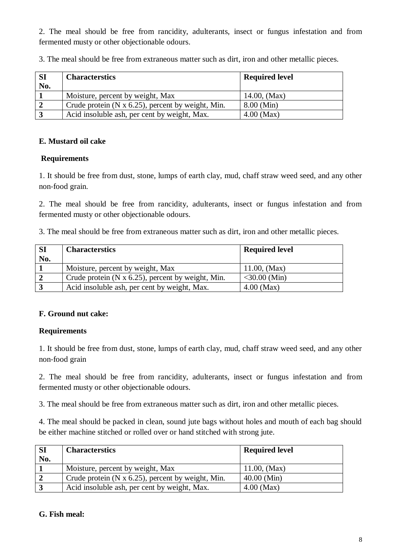2. The meal should be free from rancidity, adulterants, insect or fungus infestation and from fermented musty or other objectionable odours.

| 3. The meal should be free from extraneous matter such as dirt, iron and other metallic pieces. |  |
|-------------------------------------------------------------------------------------------------|--|
|-------------------------------------------------------------------------------------------------|--|

| <b>SI</b><br>No. | <b>Characterstics</b>                                      | <b>Required level</b> |
|------------------|------------------------------------------------------------|-----------------------|
|                  | Moisture, percent by weight, Max                           | $14.00$ , (Max)       |
|                  | Crude protein ( $N \times 6.25$ ), percent by weight, Min. | $8.00$ (Min)          |
|                  | Acid insoluble ash, per cent by weight, Max.               | $4.00$ (Max)          |

#### **E. Mustard oil cake**

#### **Requirements**

1. It should be free from dust, stone, lumps of earth clay, mud, chaff straw weed seed, and any other non‐food grain.

2. The meal should be free from rancidity, adulterants, insect or fungus infestation and from fermented musty or other objectionable odours.

3. The meal should be free from extraneous matter such as dirt, iron and other metallic pieces.

| <b>SI</b><br>No. | <b>Characterstics</b>                                     | <b>Required level</b> |
|------------------|-----------------------------------------------------------|-----------------------|
|                  | Moisture, percent by weight, Max                          | $11.00$ , (Max)       |
|                  | Crude protein $(N \times 6.25)$ , percent by weight, Min. | $<$ 30.00 (Min)       |
|                  | Acid insoluble ash, per cent by weight, Max.              | $4.00$ (Max)          |

### **F. Ground nut cake:**

### **Requirements**

1. It should be free from dust, stone, lumps of earth clay, mud, chaff straw weed seed, and any other non‐food grain

2. The meal should be free from rancidity, adulterants, insect or fungus infestation and from fermented musty or other objectionable odours.

3. The meal should be free from extraneous matter such as dirt, iron and other metallic pieces.

4. The meal should be packed in clean, sound jute bags without holes and mouth of each bag should be either machine stitched or rolled over or hand stitched with strong jute.

| <b>SI</b><br>No. | <b>Characterstics</b>                                     | <b>Required level</b> |
|------------------|-----------------------------------------------------------|-----------------------|
|                  | Moisture, percent by weight, Max                          | 11.00, $(Max)$        |
|                  | Crude protein $(N \times 6.25)$ , percent by weight, Min. | $40.00$ (Min)         |
|                  | Acid insoluble ash, per cent by weight, Max.              | $4.00$ (Max)          |

#### **G. Fish meal:**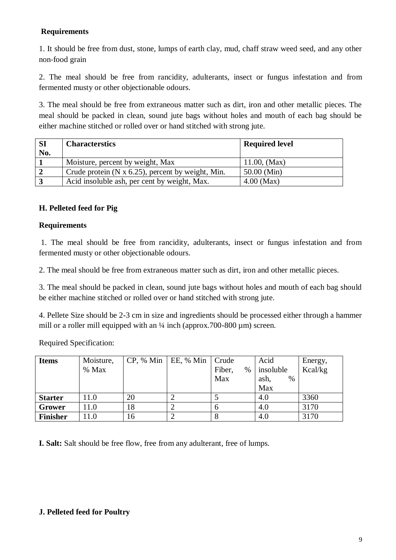# **Requirements**

1. It should be free from dust, stone, lumps of earth clay, mud, chaff straw weed seed, and any other non‐food grain

2. The meal should be free from rancidity, adulterants, insect or fungus infestation and from fermented musty or other objectionable odours.

3. The meal should be free from extraneous matter such as dirt, iron and other metallic pieces. The meal should be packed in clean, sound jute bags without holes and mouth of each bag should be either machine stitched or rolled over or hand stitched with strong jute.

| <b>SI</b> | <b>Characterstics</b>                                     | <b>Required level</b> |
|-----------|-----------------------------------------------------------|-----------------------|
| No.       |                                                           |                       |
|           | Moisture, percent by weight, Max                          | $11.00$ , (Max)       |
|           | Crude protein $(N \times 6.25)$ , percent by weight, Min. | $50.00$ (Min)         |
|           | Acid insoluble ash, per cent by weight, Max.              | $4.00$ (Max)          |

## **H. Pelleted feed for Pig**

### **Requirements**

1. The meal should be free from rancidity, adulterants, insect or fungus infestation and from fermented musty or other objectionable odours.

2. The meal should be free from extraneous matter such as dirt, iron and other metallic pieces.

3. The meal should be packed in clean, sound jute bags without holes and mouth of each bag should be either machine stitched or rolled over or hand stitched with strong jute.

4. Pellete Size should be 2-3 cm in size and ingredients should be processed either through a hammer mill or a roller mill equipped with an  $\frac{1}{4}$  inch (approx.700-800 µm) screen.

Required Specification:

| <b>Items</b>    | Moisture, |    | $CP$ , % Min   EE, % Min   Crude |                | Acid         | Energy, |
|-----------------|-----------|----|----------------------------------|----------------|--------------|---------|
|                 | % Max     |    |                                  | Fiber,<br>$\%$ | insoluble    | Kcal/kg |
|                 |           |    |                                  | Max            | $\%$<br>ash, |         |
|                 |           |    |                                  |                | Max          |         |
| <b>Starter</b>  | 11.0      | 20 |                                  |                | 4.0          | 3360    |
| Grower          | 11.0      | 18 |                                  |                | 4.0          | 3170    |
| <b>Finisher</b> | 11.0      | 16 |                                  |                | 4.0          | 3170    |

**I. Salt:** Salt should be free flow, free from any adulterant, free of lumps.

#### **J. Pelleted feed for Poultry**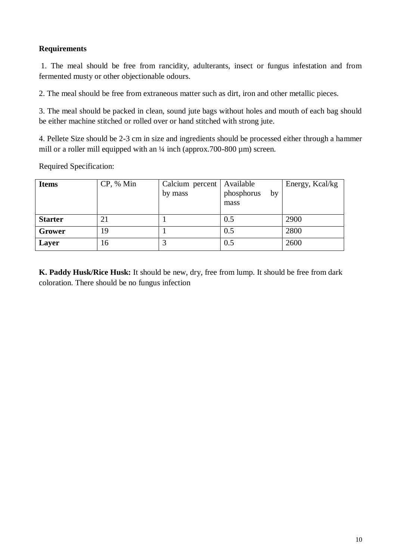# **Requirements**

1. The meal should be free from rancidity, adulterants, insect or fungus infestation and from fermented musty or other objectionable odours.

2. The meal should be free from extraneous matter such as dirt, iron and other metallic pieces.

3. The meal should be packed in clean, sound jute bags without holes and mouth of each bag should be either machine stitched or rolled over or hand stitched with strong jute.

4. Pellete Size should be 2-3 cm in size and ingredients should be processed either through a hammer mill or a roller mill equipped with an  $\frac{1}{4}$  inch (approx.700-800 µm) screen.

Required Specification:

| <b>Items</b>   | CP, % Min | Calcium percent<br>by mass | Available<br>phosphorus<br>by<br>mass | Energy, Kcal/kg |
|----------------|-----------|----------------------------|---------------------------------------|-----------------|
| <b>Starter</b> | 21        |                            | 0.5                                   | 2900            |
| Grower         | 19        |                            | 0.5                                   | 2800            |
| Layer          | 16        |                            | 0.5                                   | 2600            |

**K. Paddy Husk/Rice Husk:** It should be new, dry, free from lump. It should be free from dark coloration. There should be no fungus infection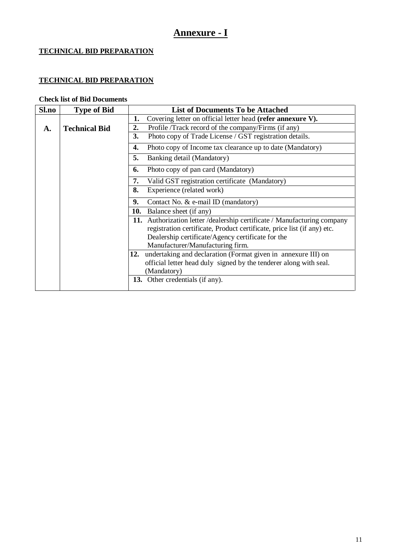# **Annexure - I**

# **TECHNICAL BID PREPARATION**

# **TECHNICAL BID PREPARATION**

### **Check list of Bid Documents**

| Sl.no        | <b>Type of Bid</b>   | <b>List of Documents To be Attached</b>                                   |
|--------------|----------------------|---------------------------------------------------------------------------|
|              |                      | 1.<br>Covering letter on official letter head (refer annexure V).         |
| $\mathbf{A}$ | <b>Technical Bid</b> | 2.<br>Profile /Track record of the company/Firms (if any)                 |
|              |                      | Photo copy of Trade License / GST registration details.<br>3.             |
|              |                      | 4.<br>Photo copy of Income tax clearance up to date (Mandatory)           |
|              |                      | 5.<br>Banking detail (Mandatory)                                          |
|              |                      | Photo copy of pan card (Mandatory)<br>6.                                  |
|              |                      | Valid GST registration certificate (Mandatory)<br>7.                      |
|              |                      | Experience (related work)<br>8.                                           |
|              |                      | 9.<br>Contact No. & e-mail ID (mandatory)                                 |
|              |                      | 10.<br>Balance sheet (if any)                                             |
|              |                      | 11. Authorization letter / dealership certificate / Manufacturing company |
|              |                      | registration certificate, Product certificate, price list (if any) etc.   |
|              |                      | Dealership certificate/Agency certificate for the                         |
|              |                      | Manufacturer/Manufacturing firm.                                          |
|              |                      | 12. undertaking and declaration (Format given in annexure III) on         |
|              |                      | official letter head duly signed by the tenderer along with seal.         |
|              |                      | (Mandatory)                                                               |
|              |                      | 13. Other credentials (if any).                                           |
|              |                      |                                                                           |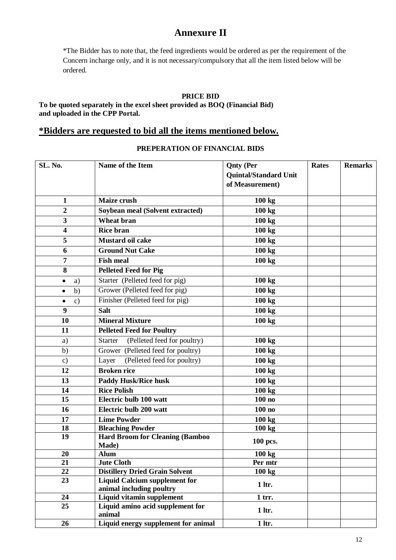# **Annexure II**

\*The Bidder has to note that, the feed ingredients would be ordered as per the requirement of the Concern incharge only, and it is not necessary/compulsory that all the item listed below will be ordered.

#### **PRICE BID**

**To be quoted separately in the excel sheet provided as BOQ (Financial Bid) and uploaded in the CPP Portal.**

# **\*Bidders are requested to bid all the items mentioned below.**

#### **PREPERATION OF FINANCIAL BIDS**

| SL. No.                    | Name of the Item                                | <b>Qnty</b> (Per             | <b>Rates</b> | <b>Remarks</b> |
|----------------------------|-------------------------------------------------|------------------------------|--------------|----------------|
|                            |                                                 | <b>Quintal/Standard Unit</b> |              |                |
|                            |                                                 | of Measurement)              |              |                |
| $\mathbf{1}$               | Maize crush                                     | 100 kg                       |              |                |
| $\boldsymbol{2}$           | Soybean meal (Solvent extracted)                | 100 kg                       |              |                |
| 3                          | <b>Wheat bran</b>                               | 100 kg                       |              |                |
| 4                          | <b>Rice bran</b>                                | 100 kg                       |              |                |
| 5                          | Mustard oil cake                                | 100 kg                       |              |                |
| 6                          | <b>Ground Nut Cake</b>                          | 100 kg                       |              |                |
| 7                          | <b>Fish meal</b>                                | 100 kg                       |              |                |
| 8                          | <b>Pelleted Feed for Pig</b>                    |                              |              |                |
| a)<br>٠                    | Starter (Pelleted feed for pig)                 | 100 kg                       |              |                |
| b)<br>$\bullet$            | Grower (Pelleted feed for pig)                  | 100 kg                       |              |                |
| $\mathbf{c})$<br>$\bullet$ | Finisher (Pelleted feed for pig)                | 100 kg                       |              |                |
| 9                          | <b>Salt</b>                                     | 100 kg                       |              |                |
| 10                         | <b>Mineral Mixture</b>                          | 100 kg                       |              |                |
| 11                         | <b>Pelleted Feed for Poultry</b>                |                              |              |                |
| a)                         | <b>Starter</b><br>(Pelleted feed for poultry)   | 100 kg                       |              |                |
| b)                         | Grower (Pelleted feed for poultry)              | 100 kg                       |              |                |
| $\mathbf{c})$              | (Pelleted feed for poultry)<br>Layer            | 100 kg                       |              |                |
| 12                         | <b>Broken rice</b>                              | 100 kg                       |              |                |
| 13                         | <b>Paddy Husk/Rice husk</b>                     | 100 kg                       |              |                |
| 14                         | <b>Rice Polish</b>                              | 100 kg                       |              |                |
| 15                         | Electric bulb 100 watt                          | 100no                        |              |                |
| 16                         | Electric bulb 200 watt                          | 100no                        |              |                |
| 17                         | <b>Lime Powder</b>                              | 100 kg                       |              |                |
| 18                         | <b>Bleaching Powder</b>                         | 100 kg                       |              |                |
| 19                         | <b>Hard Broom for Cleaning (Bamboo</b><br>Made) | 100 pcs.                     |              |                |
| 20                         | <b>Alum</b>                                     | 100 kg                       |              |                |
| 21                         | <b>Jute Cloth</b>                               | Per mtr                      |              |                |
| 22                         | <b>Distillery Dried Grain Solvent</b>           | 100 kg                       |              |                |
| 23                         | <b>Liquid Calcium supplement for</b>            | 1 ltr.                       |              |                |
|                            | animal including poultry                        |                              |              |                |
| 24                         | Liquid vitamin supplement                       | $1$ trr.                     |              |                |
| 25                         | Liquid amino acid supplement for<br>animal      | 1 ltr.                       |              |                |
| 26                         | Liquid energy supplement for animal             | $1$ ltr.                     |              |                |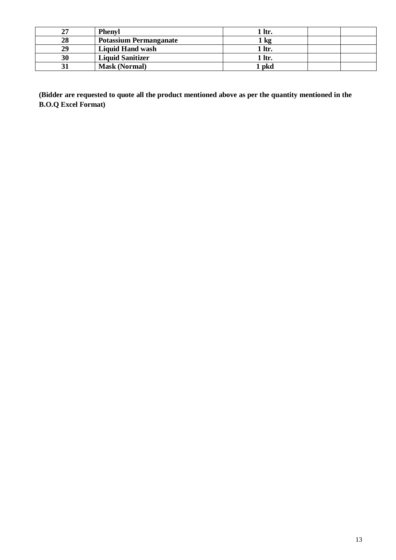| 27 | <b>Phenyl</b>                 | 1 ltr.        |  |
|----|-------------------------------|---------------|--|
| 28 | <b>Potassium Permanganate</b> | $\mathbf{kg}$ |  |
| 29 | <b>Liquid Hand wash</b>       | 1 ltr.        |  |
| 30 | <b>Liquid Sanitizer</b>       | 1 ltr.        |  |
|    | <b>Mask (Normal)</b>          | pkd           |  |

**(Bidder are requested to quote all the product mentioned above as per the quantity mentioned in the B.O.Q Excel Format)**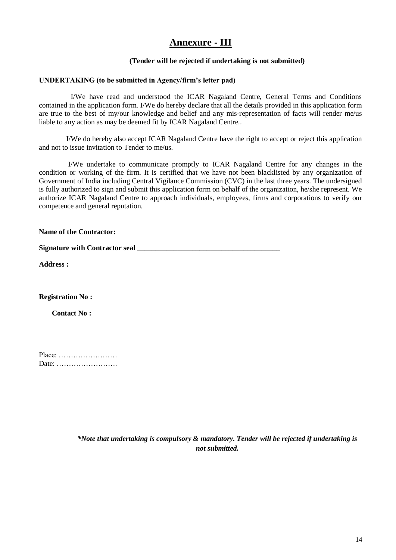# **Annexure - III**

#### **(Tender will be rejected if undertaking is not submitted)**

#### **UNDERTAKING (to be submitted in Agency/firm's letter pad)**

I/We have read and understood the ICAR Nagaland Centre, General Terms and Conditions contained in the application form. I/We do hereby declare that all the details provided in this application form are true to the best of my/our knowledge and belief and any mis-representation of facts will render me/us liable to any action as may be deemed fit by ICAR Nagaland Centre..

 I/We do hereby also accept ICAR Nagaland Centre have the right to accept or reject this application and not to issue invitation to Tender to me/us.

 I/We undertake to communicate promptly to ICAR Nagaland Centre for any changes in the condition or working of the firm. It is certified that we have not been blacklisted by any organization of Government of India including Central Vigilance Commission (CVC) in the last three years. The undersigned is fully authorized to sign and submit this application form on behalf of the organization, he/she represent. We authorize ICAR Nagaland Centre to approach individuals, employees, firms and corporations to verify our competence and general reputation.

**Name of the Contractor:**

**Signature with Contractor seal** 

**Address :**

**Registration No :**

 **Contact No :**

| Place: |  |  |  |  |  |  |  |  |  |  |  |  |
|--------|--|--|--|--|--|--|--|--|--|--|--|--|
| Date:  |  |  |  |  |  |  |  |  |  |  |  |  |

*\*Note that undertaking is compulsory & mandatory. Tender will be rejected if undertaking is not submitted.*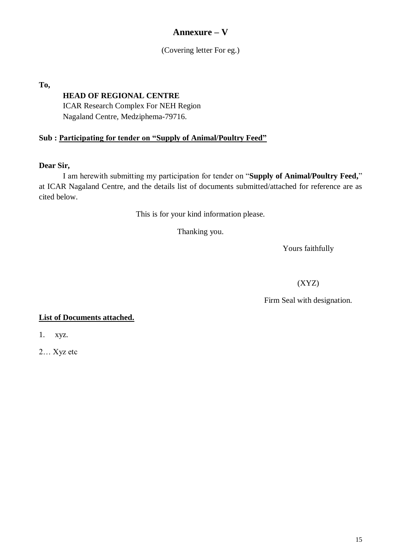# **Annexure – V**

### (Covering letter For eg.)

**To,** 

# **HEAD OF REGIONAL CENTRE**

ICAR Research Complex For NEH Region Nagaland Centre, Medziphema-79716.

# **Sub : Participating for tender on "Supply of Animal/Poultry Feed"**

### **Dear Sir,**

I am herewith submitting my participation for tender on "**Supply of Animal/Poultry Feed,**" at ICAR Nagaland Centre, and the details list of documents submitted/attached for reference are as cited below.

This is for your kind information please.

Thanking you.

Yours faithfully

(XYZ)

Firm Seal with designation.

### **List of Documents attached.**

1. xyz.

2… Xyz etc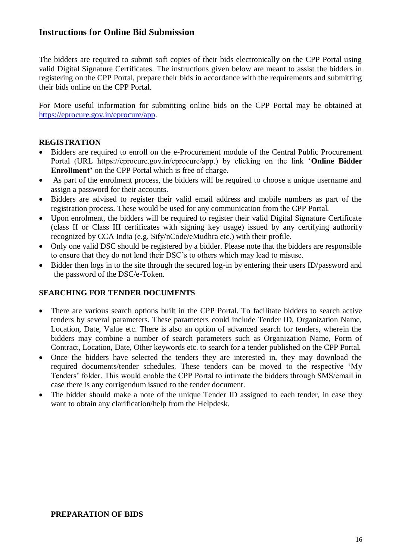# **Instructions for Online Bid Submission**

The bidders are required to submit soft copies of their bids electronically on the CPP Portal using valid Digital Signature Certificates. The instructions given below are meant to assist the bidders in registering on the CPP Portal, prepare their bids in accordance with the requirements and submitting their bids online on the CPP Portal.

For More useful information for submitting online bids on the CPP Portal may be obtained at [https://eprocure.gov.in/eprocure/app.](https://eprocure.gov.in/eprocure/app)

#### **REGISTRATION**

- Bidders are required to enroll on the e-Procurement module of the Central Public Procurement Portal (URL https://eprocure.gov.in/eprocure/app.) by clicking on the link "**Online Bidder Enrollment'** on the CPP Portal which is free of charge.
- As part of the enrolment process, the bidders will be required to choose a unique username and assign a password for their accounts.
- Bidders are advised to register their valid email address and mobile numbers as part of the registration process. These would be used for any communication from the CPP Portal.
- Upon enrolment, the bidders will be required to register their valid Digital Signature Certificate (class II or Class III certificates with signing key usage) issued by any certifying authority recognized by CCA India (e.g. Sify/nCode/eMudhra etc.) with their profile.
- Only one valid DSC should be registered by a bidder. Please note that the bidders are responsible to ensure that they do not lend their DSC"s to others which may lead to misuse.
- Bidder then logs in to the site through the secured log-in by entering their users ID/password and the password of the DSC/e-Token.

### **SEARCHING FOR TENDER DOCUMENTS**

- There are various search options built in the CPP Portal. To facilitate bidders to search active tenders by several parameters. These parameters could include Tender ID, Organization Name, Location, Date, Value etc. There is also an option of advanced search for tenders, wherein the bidders may combine a number of search parameters such as Organization Name, Form of Contract, Location, Date, Other keywords etc. to search for a tender published on the CPP Portal.
- Once the bidders have selected the tenders they are interested in, they may download the required documents/tender schedules. These tenders can be moved to the respective "My Tenders" folder. This would enable the CPP Portal to intimate the bidders through SMS/email in case there is any corrigendum issued to the tender document.
- The bidder should make a note of the unique Tender ID assigned to each tender, in case they want to obtain any clarification/help from the Helpdesk.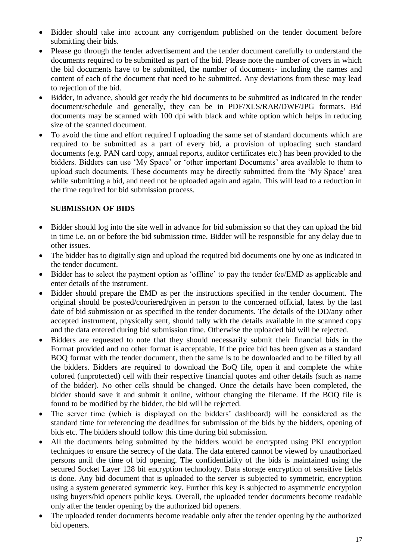- Bidder should take into account any corrigendum published on the tender document before submitting their bids.
- Please go through the tender advertisement and the tender document carefully to understand the documents required to be submitted as part of the bid. Please note the number of covers in which the bid documents have to be submitted, the number of documents- including the names and content of each of the document that need to be submitted. Any deviations from these may lead to rejection of the bid.
- Bidder, in advance, should get ready the bid documents to be submitted as indicated in the tender document/schedule and generally, they can be in PDF/XLS/RAR/DWF/JPG formats. Bid documents may be scanned with 100 dpi with black and white option which helps in reducing size of the scanned document.
- To avoid the time and effort required I uploading the same set of standard documents which are required to be submitted as a part of every bid, a provision of uploading such standard documents (e.g. PAN card copy, annual reports, auditor certificates etc.) has been provided to the bidders. Bidders can use 'My Space' or 'other important Documents' area available to them to upload such documents. These documents may be directly submitted from the "My Space" area while submitting a bid, and need not be uploaded again and again. This will lead to a reduction in the time required for bid submission process.

## **SUBMISSION OF BIDS**

- Bidder should log into the site well in advance for bid submission so that they can upload the bid in time i.e. on or before the bid submission time. Bidder will be responsible for any delay due to other issues.
- The bidder has to digitally sign and upload the required bid documents one by one as indicated in the tender document.
- Bidder has to select the payment option as 'offline' to pay the tender fee/EMD as applicable and enter details of the instrument.
- Bidder should prepare the EMD as per the instructions specified in the tender document. The original should be posted/couriered/given in person to the concerned official, latest by the last date of bid submission or as specified in the tender documents. The details of the DD/any other accepted instrument, physically sent, should tally with the details available in the scanned copy and the data entered during bid submission time. Otherwise the uploaded bid will be rejected.
- Bidders are requested to note that they should necessarily submit their financial bids in the Format provided and no other format is acceptable. If the price bid has been given as a standard BOQ format with the tender document, then the same is to be downloaded and to be filled by all the bidders. Bidders are required to download the BoQ file, open it and complete the white colored (unprotected) cell with their respective financial quotes and other details (such as name of the bidder). No other cells should be changed. Once the details have been completed, the bidder should save it and submit it online, without changing the filename. If the BOQ file is found to be modified by the bidder, the bid will be rejected.
- The server time (which is displayed on the bidders' dashboard) will be considered as the standard time for referencing the deadlines for submission of the bids by the bidders, opening of bids etc. The bidders should follow this time during bid submission.
- All the documents being submitted by the bidders would be encrypted using PKI encryption techniques to ensure the secrecy of the data. The data entered cannot be viewed by unauthorized persons until the time of bid opening. The confidentiality of the bids is maintained using the secured Socket Layer 128 bit encryption technology. Data storage encryption of sensitive fields is done. Any bid document that is uploaded to the server is subjected to symmetric, encryption using a system generated symmetric key. Further this key is subjected to asymmetric encryption using buyers/bid openers public keys. Overall, the uploaded tender documents become readable only after the tender opening by the authorized bid openers.
- The uploaded tender documents become readable only after the tender opening by the authorized bid openers.